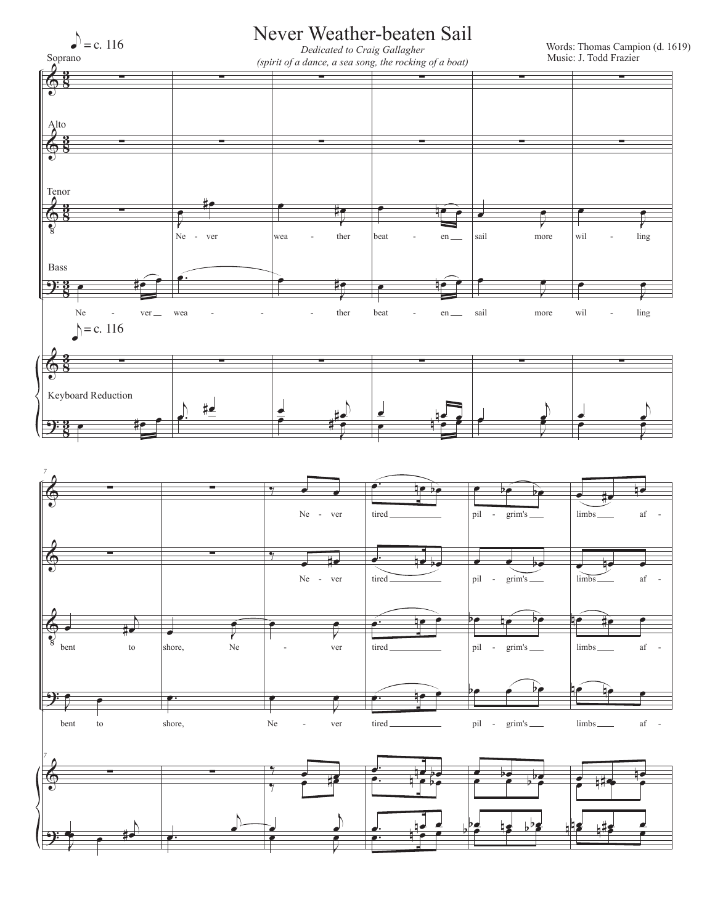

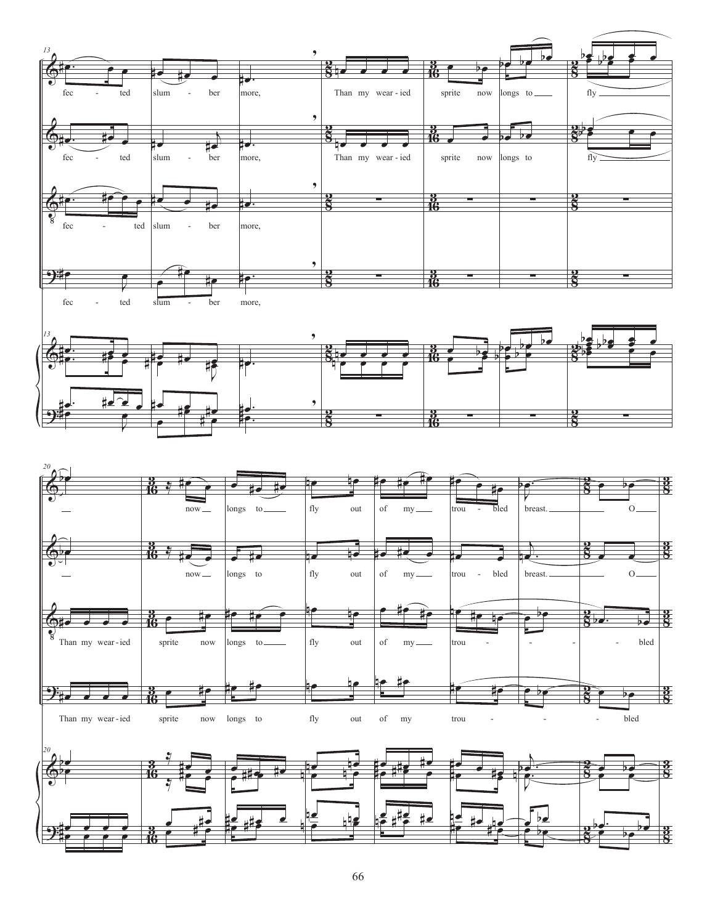



66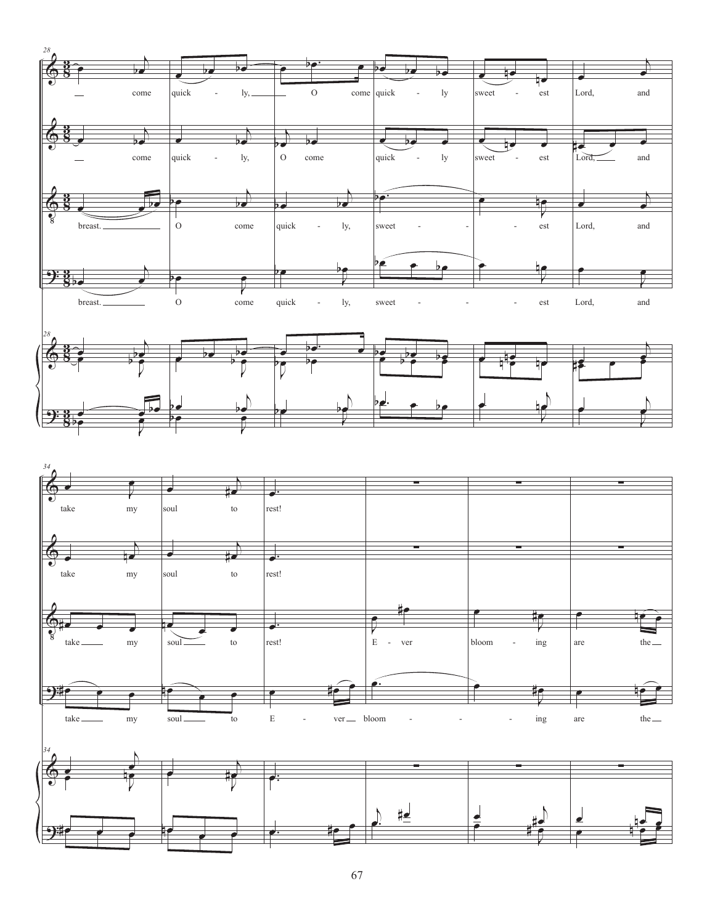

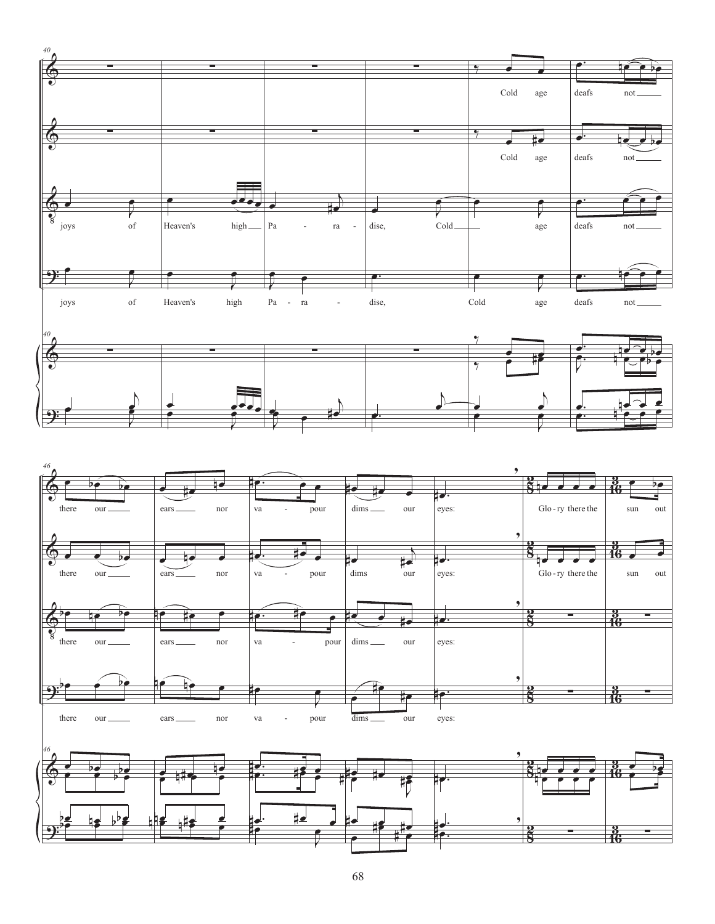



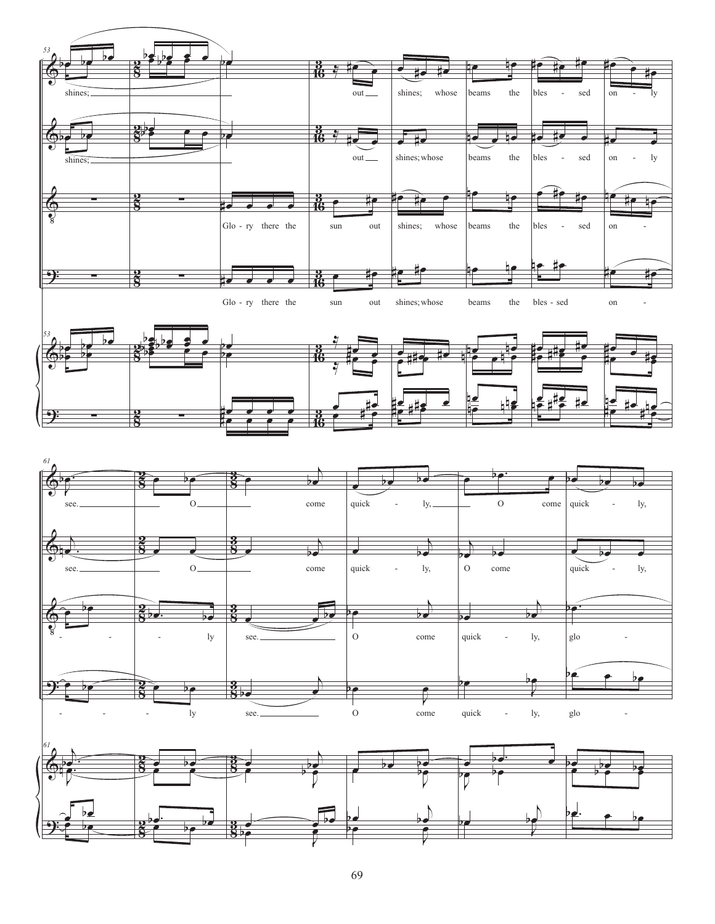